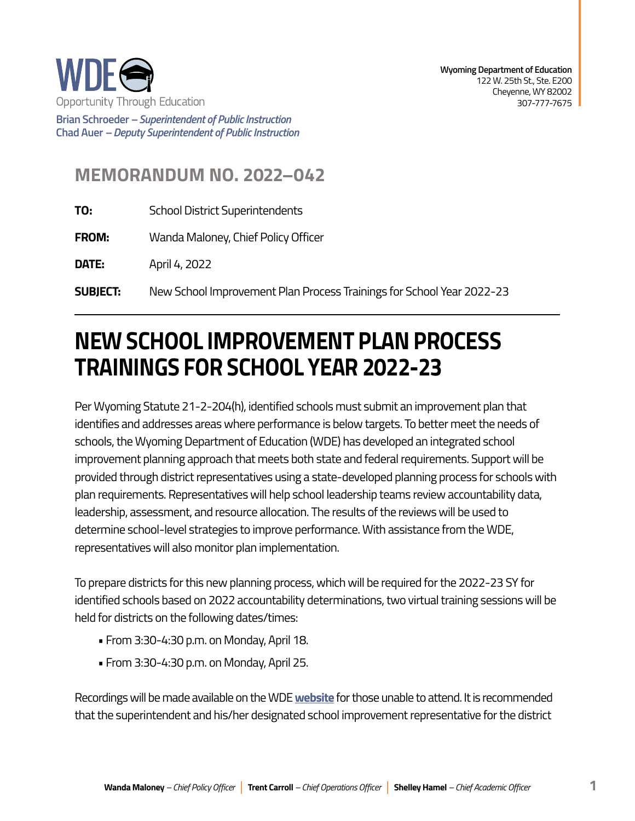

**Brian Schroeder –***Superintendent of Public Instruction*  **Chad Auer** *– Deputy Superintendent of Public Instruction* 

## **MEMORANDUM NO. 2022–042**

- **TO:** School District Superintendents
- **FROM:** Wanda Maloney, Chief Policy Officer

**DATE:** April 4, 2022

**SUBJECT:** New School Improvement Plan Process Trainings for School Year 2022-23

## **NEW SCHOOL IMPROVEMENT PLAN PROCESS TRAININGS FOR SCHOOL YEAR 2022-23**

Per Wyoming Statute 21-2-204(h), identified schools must submit an improvement plan that identifies and addresses areas where performance is below targets. To better meet the needs of schools, the Wyoming Department of Education (WDE) has developed an integrated school improvement planning approach that meets both state and federal requirements. Support will be provided through district representatives using a state-developed planning process for schools with plan requirements. Representatives will help school leadership teams review accountability data, leadership, assessment, and resource allocation. The results of the reviews will be used to determine school-level strategies to improve performance. With assistance from the WDE, representatives will also monitor plan implementation.

To prepare districts for this new planning process, which will be required for the 2022-23 SY for identified schools based on 2022 accountability determinations, two virtual training sessions will be held for districts on the following dates/times:

- From 3:30-4:30 p.m. on Monday, April 18.
- From 3:30-4:30 p.m. on Monday, April 25.

Recordings will be made available on the WDE **[website](https://edu.wyoming.gov/for-district-leadership/ssos/school-improvement-planning/)** for those unable to attend. It is recommended that the superintendent and his/her designated school improvement representative for the district